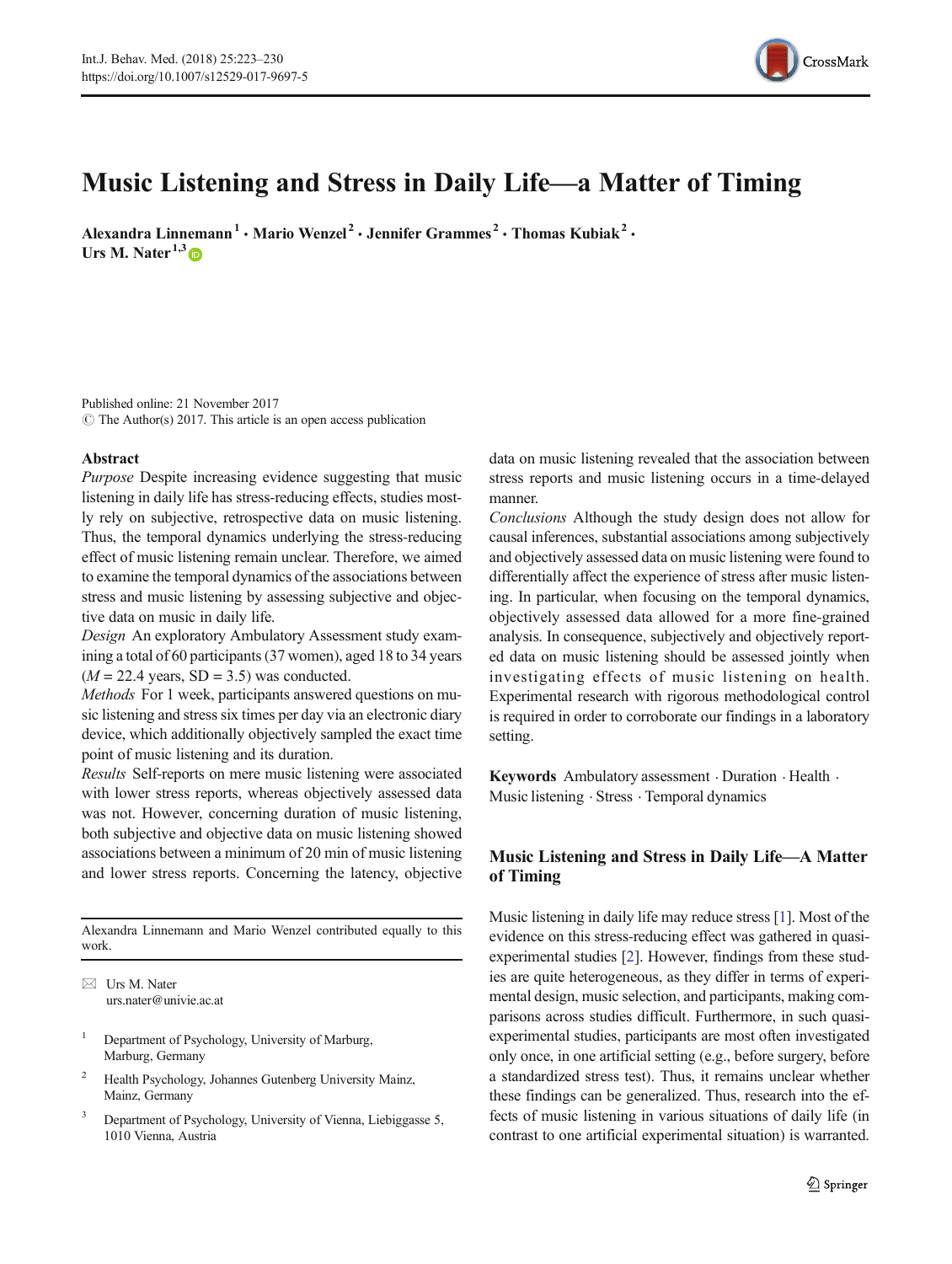

# Music Listening and Stress in Daily Life—a Matter of Timing

Alexandra Linnemann<sup>1</sup> · Mario Wenzel<sup>2</sup> · Jennifer Grammes<sup>2</sup> · Thomas Kubiak<sup>2</sup> · Urs M. Nater<sup>1,3</sup>

Published online: 21 November 2017  $\circ$  The Author(s) 2017. This article is an open access publication

## Abstract

Purpose Despite increasing evidence suggesting that music listening in daily life has stress-reducing effects, studies mostly rely on subjective, retrospective data on music listening. Thus, the temporal dynamics underlying the stress-reducing effect of music listening remain unclear. Therefore, we aimed to examine the temporal dynamics of the associations between stress and music listening by assessing subjective and objective data on music in daily life.

Design An exploratory Ambulatory Assessment study examining a total of 60 participants (37 women), aged 18 to 34 years  $(M = 22.4$  years, SD = 3.5) was conducted.

Methods For 1 week, participants answered questions on music listening and stress six times per day via an electronic diary device, which additionally objectively sampled the exact time point of music listening and its duration.

Results Self-reports on mere music listening were associated with lower stress reports, whereas objectively assessed data was not. However, concerning duration of music listening, both subjective and objective data on music listening showed associations between a minimum of 20 min of music listening and lower stress reports. Concerning the latency, objective

Alexandra Linnemann and Mario Wenzel contributed equally to this work.

 $\boxtimes$  Urs M. Nater [urs.nater@univie.ac.at](mailto:urs.nater@univie.ac.at)

- <sup>1</sup> Department of Psychology, University of Marburg, Marburg, Germany
- <sup>2</sup> Health Psychology, Johannes Gutenberg University Mainz, Mainz, Germany
- <sup>3</sup> Department of Psychology, University of Vienna, Liebiggasse 5, 1010 Vienna, Austria

data on music listening revealed that the association between stress reports and music listening occurs in a time-delayed manner.

Conclusions Although the study design does not allow for causal inferences, substantial associations among subjectively and objectively assessed data on music listening were found to differentially affect the experience of stress after music listening. In particular, when focusing on the temporal dynamics, objectively assessed data allowed for a more fine-grained analysis. In consequence, subjectively and objectively reported data on music listening should be assessed jointly when investigating effects of music listening on health. Experimental research with rigorous methodological control is required in order to corroborate our findings in a laboratory setting.

Keywords Ambulatory assessment  $\cdot$  Duration  $\cdot$  Health  $\cdot$ Music listening . Stress . Temporal dynamics

# Music Listening and Stress in Daily Life—A Matter of Timing

Music listening in daily life may reduce stress [\[1](#page-7-0)]. Most of the evidence on this stress-reducing effect was gathered in quasiexperimental studies [\[2](#page-7-0)]. However, findings from these studies are quite heterogeneous, as they differ in terms of experimental design, music selection, and participants, making comparisons across studies difficult. Furthermore, in such quasiexperimental studies, participants are most often investigated only once, in one artificial setting (e.g., before surgery, before a standardized stress test). Thus, it remains unclear whether these findings can be generalized. Thus, research into the effects of music listening in various situations of daily life (in contrast to one artificial experimental situation) is warranted.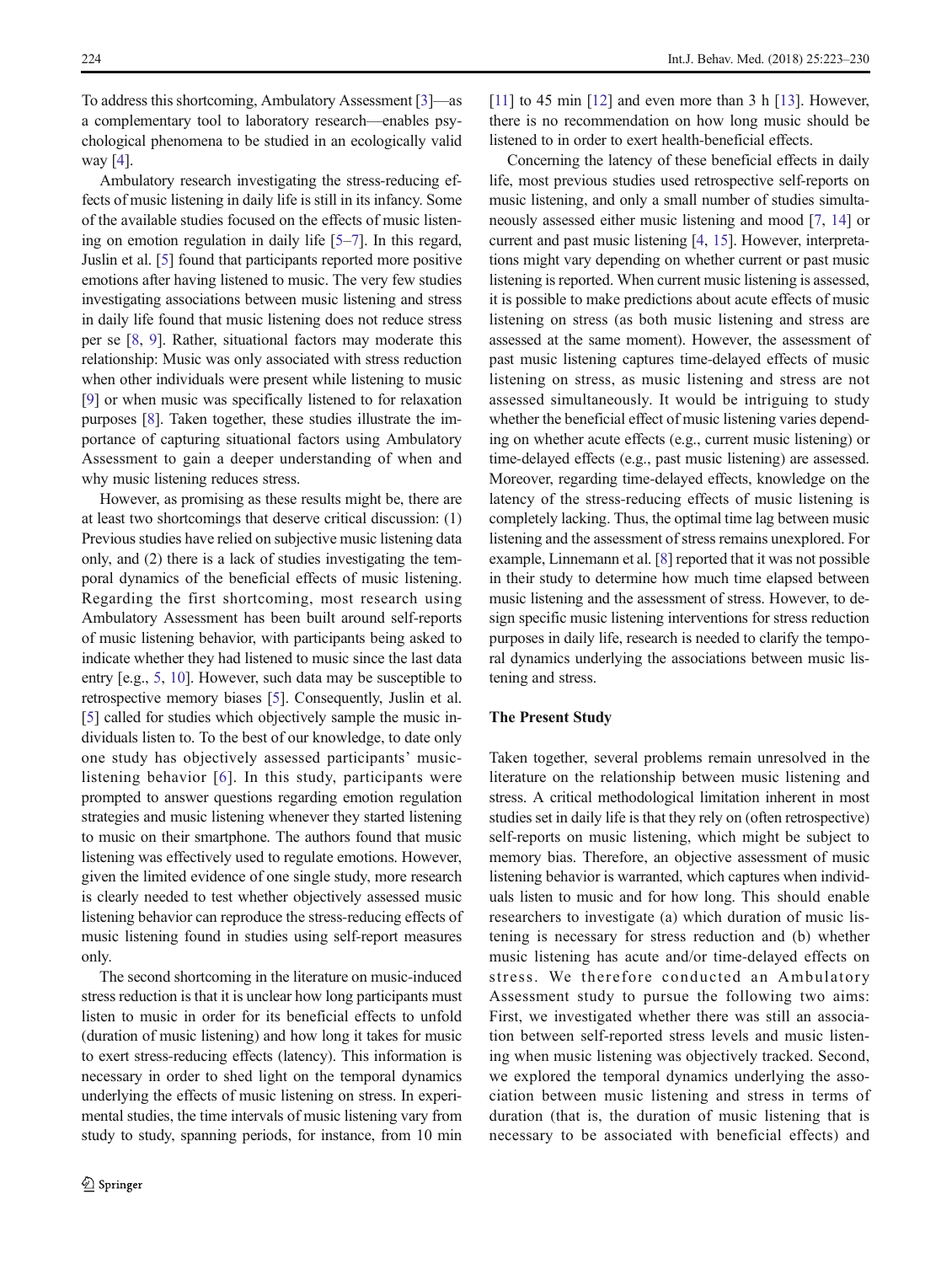To address this shortcoming, Ambulatory Assessment [\[3\]](#page-7-0)—as a complementary tool to laboratory research—enables psychological phenomena to be studied in an ecologically valid way [\[4\]](#page-7-0).

Ambulatory research investigating the stress-reducing effects of music listening in daily life is still in its infancy. Some of the available studies focused on the effects of music listening on emotion regulation in daily life [[5](#page-7-0)–[7\]](#page-7-0). In this regard, Juslin et al. [[5\]](#page-7-0) found that participants reported more positive emotions after having listened to music. The very few studies investigating associations between music listening and stress in daily life found that music listening does not reduce stress per se [\[8](#page-7-0), [9](#page-7-0)]. Rather, situational factors may moderate this relationship: Music was only associated with stress reduction when other individuals were present while listening to music [\[9](#page-7-0)] or when music was specifically listened to for relaxation purposes [\[8\]](#page-7-0). Taken together, these studies illustrate the importance of capturing situational factors using Ambulatory Assessment to gain a deeper understanding of when and why music listening reduces stress.

However, as promising as these results might be, there are at least two shortcomings that deserve critical discussion: (1) Previous studies have relied on subjective music listening data only, and (2) there is a lack of studies investigating the temporal dynamics of the beneficial effects of music listening. Regarding the first shortcoming, most research using Ambulatory Assessment has been built around self-reports of music listening behavior, with participants being asked to indicate whether they had listened to music since the last data entry [e.g., [5,](#page-7-0) [10\]](#page-7-0). However, such data may be susceptible to retrospective memory biases [\[5](#page-7-0)]. Consequently, Juslin et al. [\[5\]](#page-7-0) called for studies which objectively sample the music individuals listen to. To the best of our knowledge, to date only one study has objectively assessed participants' musiclistening behavior [[6](#page-7-0)]. In this study, participants were prompted to answer questions regarding emotion regulation strategies and music listening whenever they started listening to music on their smartphone. The authors found that music listening was effectively used to regulate emotions. However, given the limited evidence of one single study, more research is clearly needed to test whether objectively assessed music listening behavior can reproduce the stress-reducing effects of music listening found in studies using self-report measures only.

The second shortcoming in the literature on music-induced stress reduction is that it is unclear how long participants must listen to music in order for its beneficial effects to unfold (duration of music listening) and how long it takes for music to exert stress-reducing effects (latency). This information is necessary in order to shed light on the temporal dynamics underlying the effects of music listening on stress. In experimental studies, the time intervals of music listening vary from study to study, spanning periods, for instance, from 10 min [\[11\]](#page-7-0) to 45 min [\[12](#page-7-0)] and even more than 3 h [[13\]](#page-7-0). However, there is no recommendation on how long music should be listened to in order to exert health-beneficial effects.

Concerning the latency of these beneficial effects in daily life, most previous studies used retrospective self-reports on music listening, and only a small number of studies simultaneously assessed either music listening and mood [\[7](#page-7-0), [14\]](#page-7-0) or current and past music listening [[4,](#page-7-0) [15\]](#page-7-0). However, interpretations might vary depending on whether current or past music listening is reported. When current music listening is assessed, it is possible to make predictions about acute effects of music listening on stress (as both music listening and stress are assessed at the same moment). However, the assessment of past music listening captures time-delayed effects of music listening on stress, as music listening and stress are not assessed simultaneously. It would be intriguing to study whether the beneficial effect of music listening varies depending on whether acute effects (e.g., current music listening) or time-delayed effects (e.g., past music listening) are assessed. Moreover, regarding time-delayed effects, knowledge on the latency of the stress-reducing effects of music listening is completely lacking. Thus, the optimal time lag between music listening and the assessment of stress remains unexplored. For example, Linnemann et al. [\[8\]](#page-7-0) reported that it was not possible in their study to determine how much time elapsed between music listening and the assessment of stress. However, to design specific music listening interventions for stress reduction purposes in daily life, research is needed to clarify the temporal dynamics underlying the associations between music listening and stress.

# The Present Study

Taken together, several problems remain unresolved in the literature on the relationship between music listening and stress. A critical methodological limitation inherent in most studies set in daily life is that they rely on (often retrospective) self-reports on music listening, which might be subject to memory bias. Therefore, an objective assessment of music listening behavior is warranted, which captures when individuals listen to music and for how long. This should enable researchers to investigate (a) which duration of music listening is necessary for stress reduction and (b) whether music listening has acute and/or time-delayed effects on stress. We therefore conducted an Ambulatory Assessment study to pursue the following two aims: First, we investigated whether there was still an association between self-reported stress levels and music listening when music listening was objectively tracked. Second, we explored the temporal dynamics underlying the association between music listening and stress in terms of duration (that is, the duration of music listening that is necessary to be associated with beneficial effects) and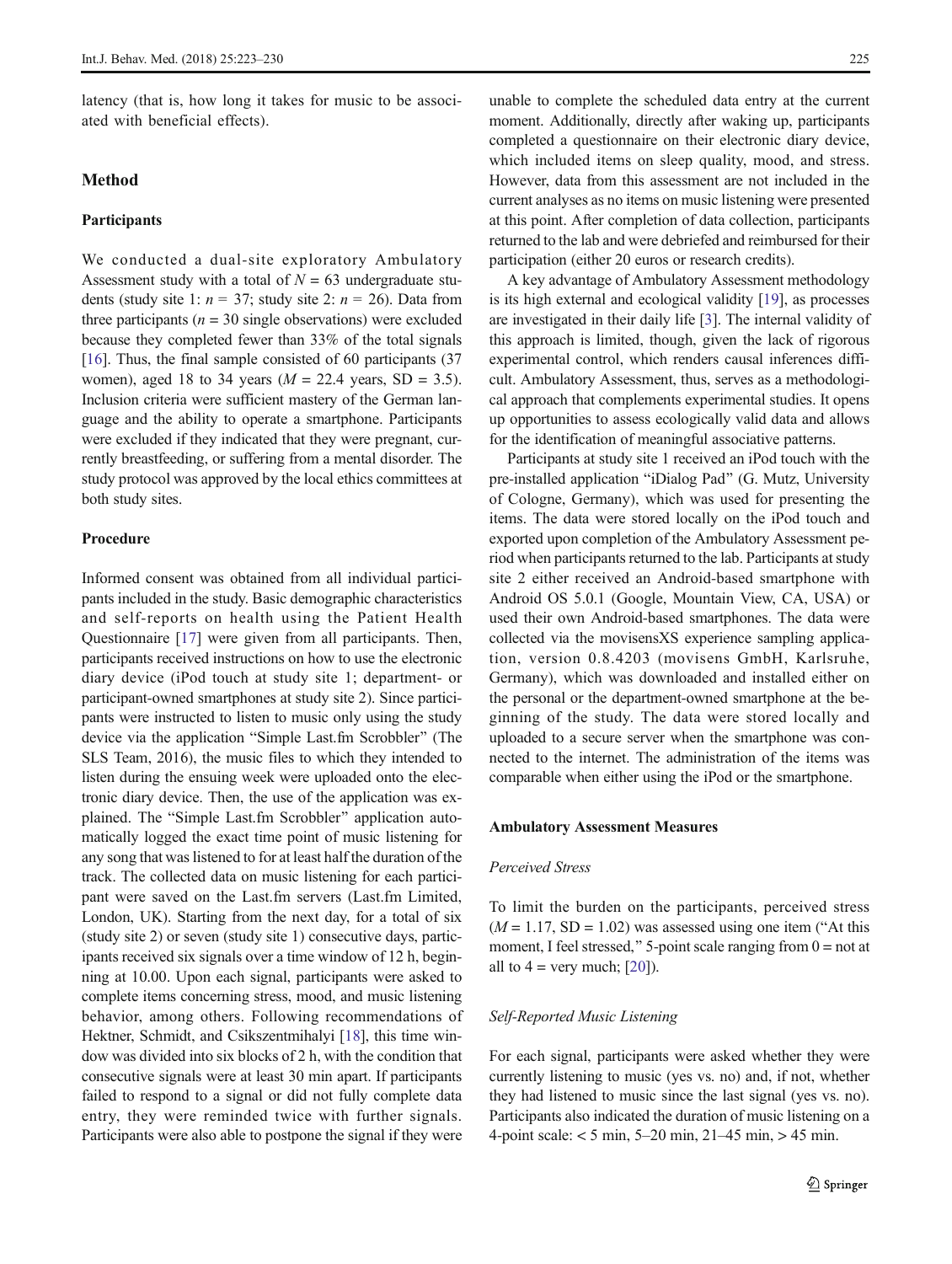latency (that is, how long it takes for music to be associated with beneficial effects).

# Method

# Participants

We conducted a dual-site exploratory Ambulatory Assessment study with a total of  $N = 63$  undergraduate students (study site 1:  $n = 37$ ; study site 2:  $n = 26$ ). Data from three participants ( $n = 30$  single observations) were excluded because they completed fewer than 33% of the total signals [\[16\]](#page-7-0). Thus, the final sample consisted of 60 participants (37) women), aged 18 to 34 years ( $M = 22.4$  years, SD = 3.5). Inclusion criteria were sufficient mastery of the German language and the ability to operate a smartphone. Participants were excluded if they indicated that they were pregnant, currently breastfeeding, or suffering from a mental disorder. The study protocol was approved by the local ethics committees at both study sites.

# Procedure

Informed consent was obtained from all individual participants included in the study. Basic demographic characteristics and self-reports on health using the Patient Health Questionnaire [\[17\]](#page-7-0) were given from all participants. Then, participants received instructions on how to use the electronic diary device (iPod touch at study site 1; department- or participant-owned smartphones at study site 2). Since participants were instructed to listen to music only using the study device via the application "Simple Last.fm Scrobbler" (The SLS Team, 2016), the music files to which they intended to listen during the ensuing week were uploaded onto the electronic diary device. Then, the use of the application was explained. The "Simple Last.fm Scrobbler" application automatically logged the exact time point of music listening for any song that was listened to for at least half the duration of the track. The collected data on music listening for each participant were saved on the Last.fm servers (Last.fm Limited, London, UK). Starting from the next day, for a total of six (study site 2) or seven (study site 1) consecutive days, participants received six signals over a time window of 12 h, beginning at 10.00. Upon each signal, participants were asked to complete items concerning stress, mood, and music listening behavior, among others. Following recommendations of Hektner, Schmidt, and Csikszentmihalyi [[18](#page-7-0)], this time window was divided into six blocks of 2 h, with the condition that consecutive signals were at least 30 min apart. If participants failed to respond to a signal or did not fully complete data entry, they were reminded twice with further signals. Participants were also able to postpone the signal if they were

unable to complete the scheduled data entry at the current moment. Additionally, directly after waking up, participants completed a questionnaire on their electronic diary device, which included items on sleep quality, mood, and stress. However, data from this assessment are not included in the current analyses as no items on music listening were presented at this point. After completion of data collection, participants returned to the lab and were debriefed and reimbursed for their participation (either 20 euros or research credits).

A key advantage of Ambulatory Assessment methodology is its high external and ecological validity [[19](#page-7-0)], as processes are investigated in their daily life [[3\]](#page-7-0). The internal validity of this approach is limited, though, given the lack of rigorous experimental control, which renders causal inferences difficult. Ambulatory Assessment, thus, serves as a methodological approach that complements experimental studies. It opens up opportunities to assess ecologically valid data and allows for the identification of meaningful associative patterns.

Participants at study site 1 received an iPod touch with the pre-installed application "iDialog Pad" (G. Mutz, University of Cologne, Germany), which was used for presenting the items. The data were stored locally on the iPod touch and exported upon completion of the Ambulatory Assessment period when participants returned to the lab. Participants at study site 2 either received an Android-based smartphone with Android OS 5.0.1 (Google, Mountain View, CA, USA) or used their own Android-based smartphones. The data were collected via the movisensXS experience sampling application, version 0.8.4203 (movisens GmbH, Karlsruhe, Germany), which was downloaded and installed either on the personal or the department-owned smartphone at the beginning of the study. The data were stored locally and uploaded to a secure server when the smartphone was connected to the internet. The administration of the items was comparable when either using the iPod or the smartphone.

#### Ambulatory Assessment Measures

#### Perceived Stress

To limit the burden on the participants, perceived stress  $(M = 1.17, SD = 1.02)$  was assessed using one item ("At this moment, I feel stressed," 5-point scale ranging from  $0 =$  not at all to  $4 = \text{very much}; [20]$  $4 = \text{very much}; [20]$ ).

#### Self-Reported Music Listening

For each signal, participants were asked whether they were currently listening to music (yes vs. no) and, if not, whether they had listened to music since the last signal (yes vs. no). Participants also indicated the duration of music listening on a 4-point scale: < 5 min, 5–20 min, 21–45 min, > 45 min.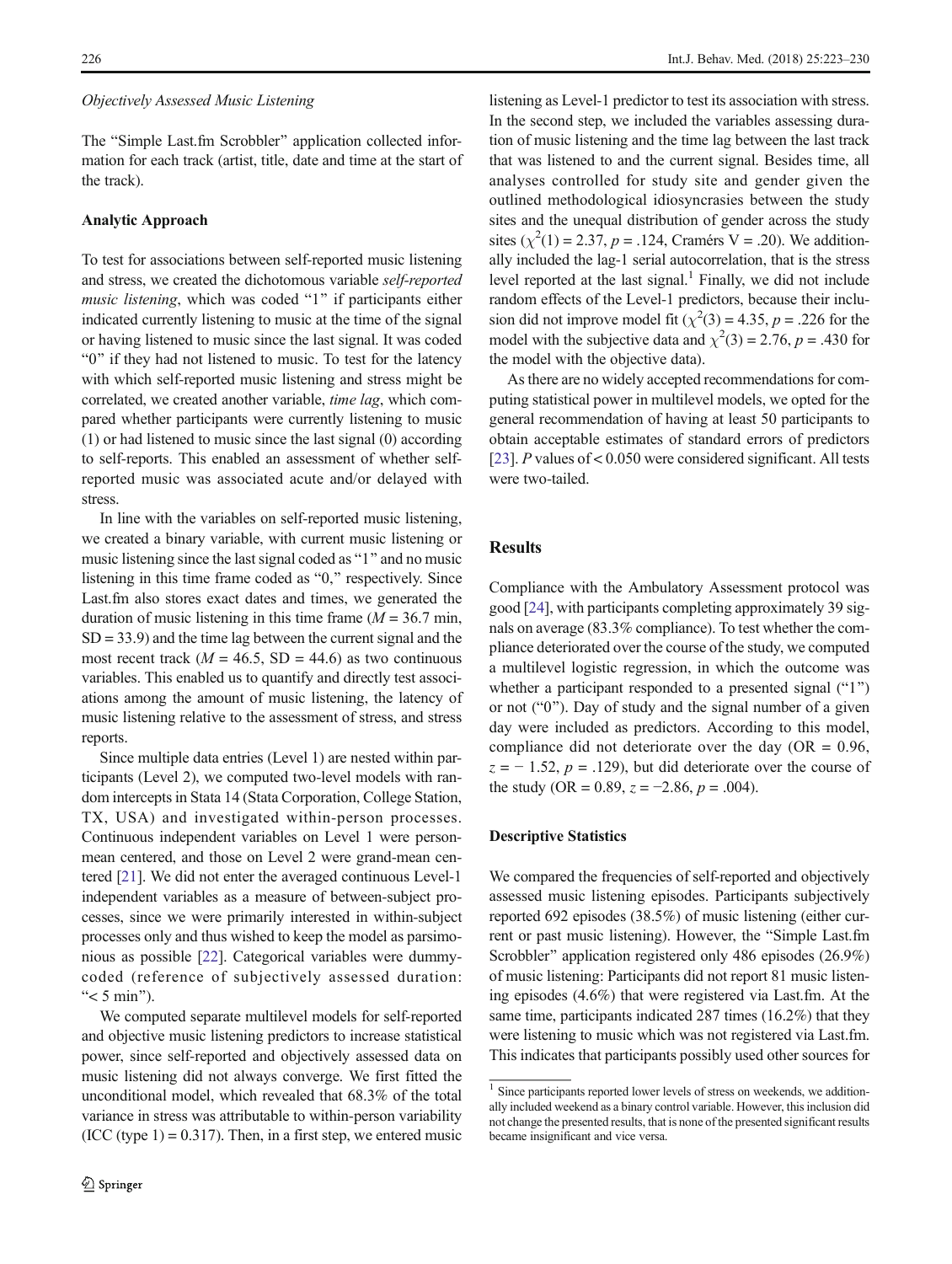## Objectively Assessed Music Listening

The "Simple Last.fm Scrobbler" application collected information for each track (artist, title, date and time at the start of the track).

#### Analytic Approach

To test for associations between self-reported music listening and stress, we created the dichotomous variable self-reported music listening, which was coded "1" if participants either indicated currently listening to music at the time of the signal or having listened to music since the last signal. It was coded "0" if they had not listened to music. To test for the latency with which self-reported music listening and stress might be correlated, we created another variable, time lag, which compared whether participants were currently listening to music (1) or had listened to music since the last signal (0) according to self-reports. This enabled an assessment of whether selfreported music was associated acute and/or delayed with stress.

In line with the variables on self-reported music listening, we created a binary variable, with current music listening or music listening since the last signal coded as "1" and no music listening in this time frame coded as " $0$ ," respectively. Since Last.fm also stores exact dates and times, we generated the duration of music listening in this time frame  $(M = 36.7 \text{ min}$ ,  $SD = 33.9$  and the time lag between the current signal and the most recent track ( $M = 46.5$ , SD = 44.6) as two continuous variables. This enabled us to quantify and directly test associations among the amount of music listening, the latency of music listening relative to the assessment of stress, and stress reports.

Since multiple data entries (Level 1) are nested within participants (Level 2), we computed two-level models with random intercepts in Stata 14 (Stata Corporation, College Station, TX, USA) and investigated within-person processes. Continuous independent variables on Level 1 were personmean centered, and those on Level 2 were grand-mean centered [\[21\]](#page-7-0). We did not enter the averaged continuous Level-1 independent variables as a measure of between-subject processes, since we were primarily interested in within-subject processes only and thus wished to keep the model as parsimonious as possible [[22\]](#page-7-0). Categorical variables were dummycoded (reference of subjectively assessed duration: " $<$  5 min").

We computed separate multilevel models for self-reported and objective music listening predictors to increase statistical power, since self-reported and objectively assessed data on music listening did not always converge. We first fitted the unconditional model, which revealed that 68.3% of the total variance in stress was attributable to within-person variability  $(ICC (type 1) = 0.317)$ . Then, in a first step, we entered music

listening as Level-1 predictor to test its association with stress. In the second step, we included the variables assessing duration of music listening and the time lag between the last track that was listened to and the current signal. Besides time, all analyses controlled for study site and gender given the outlined methodological idiosyncrasies between the study sites and the unequal distribution of gender across the study sites ( $\chi^2(1) = 2.37$ ,  $p = .124$ , Cramérs V = .20). We additionally included the lag-1 serial autocorrelation, that is the stress level reported at the last signal. $<sup>1</sup>$  Finally, we did not include</sup> random effects of the Level-1 predictors, because their inclusion did not improve model fit ( $\chi^2(3) = 4.35$ ,  $p = .226$  for the model with the subjective data and  $\chi^2(3) = 2.76$ ,  $p = .430$  for the model with the objective data).

As there are no widely accepted recommendations for computing statistical power in multilevel models, we opted for the general recommendation of having at least 50 participants to obtain acceptable estimates of standard errors of predictors [\[23](#page-7-0)]. P values of < 0.050 were considered significant. All tests were two-tailed.

# **Results**

Compliance with the Ambulatory Assessment protocol was good [[24\]](#page-7-0), with participants completing approximately 39 signals on average (83.3% compliance). To test whether the compliance deteriorated over the course of the study, we computed a multilevel logistic regression, in which the outcome was whether a participant responded to a presented signal  $(1")$ or not  $("0")$ . Day of study and the signal number of a given day were included as predictors. According to this model, compliance did not deteriorate over the day  $(OR = 0.96,$  $z = -1.52$ ,  $p = .129$ ), but did deteriorate over the course of the study (OR = 0.89,  $z = -2.86$ ,  $p = .004$ ).

# Descriptive Statistics

We compared the frequencies of self-reported and objectively assessed music listening episodes. Participants subjectively reported 692 episodes (38.5%) of music listening (either current or past music listening). However, the "Simple Last.fm Scrobbler" application registered only 486 episodes (26.9%) of music listening: Participants did not report 81 music listening episodes (4.6%) that were registered via Last.fm. At the same time, participants indicated 287 times (16.2%) that they were listening to music which was not registered via Last.fm. This indicates that participants possibly used other sources for

 $1$  Since participants reported lower levels of stress on weekends, we additionally included weekend as a binary control variable. However, this inclusion did not change the presented results, that is none of the presented significant results became insignificant and vice versa.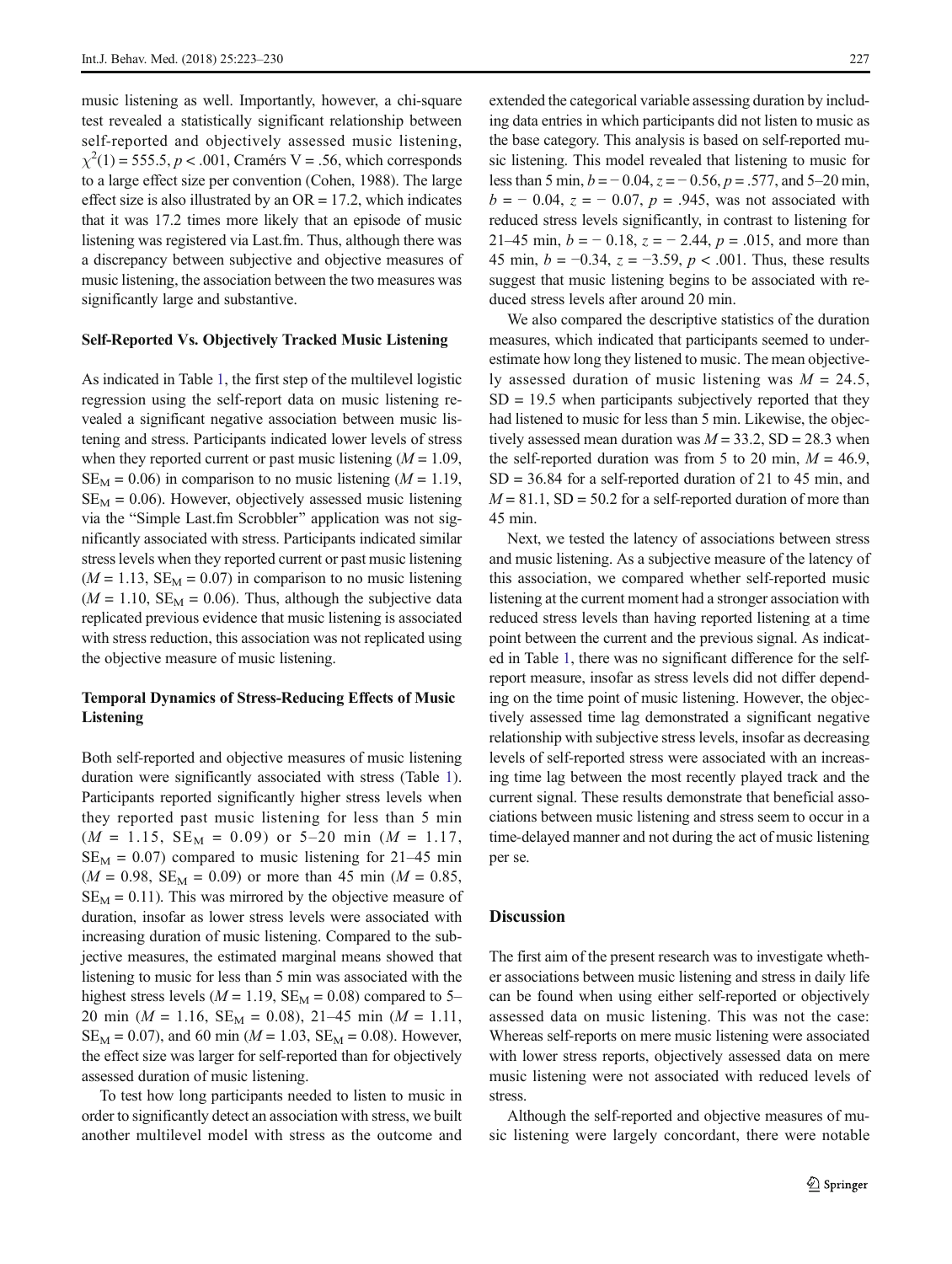music listening as well. Importantly, however, a chi-square test revealed a statistically significant relationship between self-reported and objectively assessed music listening,  $\chi^2(1) = 555.5, p < .001$ , Cramérs V = .56, which corresponds to a large effect size per convention (Cohen, 1988). The large effect size is also illustrated by an  $OR = 17.2$ , which indicates that it was 17.2 times more likely that an episode of music listening was registered via Last.fm. Thus, although there was a discrepancy between subjective and objective measures of music listening, the association between the two measures was significantly large and substantive.

#### Self-Reported Vs. Objectively Tracked Music Listening

As indicated in Table [1](#page-5-0), the first step of the multilevel logistic regression using the self-report data on music listening revealed a significant negative association between music listening and stress. Participants indicated lower levels of stress when they reported current or past music listening  $(M = 1.09)$ ,  $SE_{M} = 0.06$ ) in comparison to no music listening ( $M = 1.19$ ,  $SE<sub>M</sub> = 0.06$ . However, objectively assessed music listening via the "Simple Last.fm Scrobbler" application was not significantly associated with stress. Participants indicated similar stress levels when they reported current or past music listening  $(M = 1.13, SE<sub>M</sub> = 0.07)$  in comparison to no music listening  $(M = 1.10, SE<sub>M</sub> = 0.06)$ . Thus, although the subjective data replicated previous evidence that music listening is associated with stress reduction, this association was not replicated using the objective measure of music listening.

# Temporal Dynamics of Stress-Reducing Effects of Music Listening

Both self-reported and objective measures of music listening duration were significantly associated with stress (Table [1\)](#page-5-0). Participants reported significantly higher stress levels when they reported past music listening for less than 5 min  $(M = 1.15, SE_M = 0.09)$  or 5–20 min  $(M = 1.17,$  $SE_M = 0.07$ ) compared to music listening for 21–45 min  $(M = 0.98, SE<sub>M</sub> = 0.09)$  or more than 45 min  $(M = 0.85,$  $SE_M = 0.11$ ). This was mirrored by the objective measure of duration, insofar as lower stress levels were associated with increasing duration of music listening. Compared to the subjective measures, the estimated marginal means showed that listening to music for less than 5 min was associated with the highest stress levels ( $M = 1.19$ ,  $SE_M = 0.08$ ) compared to 5– 20 min ( $M = 1.16$ ,  $SE_M = 0.08$ ), 21–45 min ( $M = 1.11$ ,  $SE_M = 0.07$ , and 60 min ( $M = 1.03$ ,  $SE_M = 0.08$ ). However, the effect size was larger for self-reported than for objectively assessed duration of music listening.

To test how long participants needed to listen to music in order to significantly detect an association with stress, we built another multilevel model with stress as the outcome and

extended the categorical variable assessing duration by including data entries in which participants did not listen to music as the base category. This analysis is based on self-reported music listening. This model revealed that listening to music for less than 5 min,  $b = -0.04$ ,  $z = -0.56$ ,  $p = .577$ , and 5–20 min,  $b = -0.04$ ,  $z = -0.07$ ,  $p = .945$ , was not associated with reduced stress levels significantly, in contrast to listening for 21–45 min,  $b = -0.18$ ,  $z = -2.44$ ,  $p = .015$ , and more than 45 min,  $b = -0.34$ ,  $z = -3.59$ ,  $p < .001$ . Thus, these results suggest that music listening begins to be associated with reduced stress levels after around 20 min.

We also compared the descriptive statistics of the duration measures, which indicated that participants seemed to underestimate how long they listened to music. The mean objectively assessed duration of music listening was  $M = 24.5$ ,  $SD = 19.5$  when participants subjectively reported that they had listened to music for less than 5 min. Likewise, the objectively assessed mean duration was  $M = 33.2$ , SD = 28.3 when the self-reported duration was from 5 to 20 min,  $M = 46.9$ ,  $SD = 36.84$  for a self-reported duration of 21 to 45 min, and  $M = 81.1$ , SD = 50.2 for a self-reported duration of more than 45 min.

Next, we tested the latency of associations between stress and music listening. As a subjective measure of the latency of this association, we compared whether self-reported music listening at the current moment had a stronger association with reduced stress levels than having reported listening at a time point between the current and the previous signal. As indicated in Table [1](#page-5-0), there was no significant difference for the selfreport measure, insofar as stress levels did not differ depending on the time point of music listening. However, the objectively assessed time lag demonstrated a significant negative relationship with subjective stress levels, insofar as decreasing levels of self-reported stress were associated with an increasing time lag between the most recently played track and the current signal. These results demonstrate that beneficial associations between music listening and stress seem to occur in a time-delayed manner and not during the act of music listening per se.

# **Discussion**

The first aim of the present research was to investigate whether associations between music listening and stress in daily life can be found when using either self-reported or objectively assessed data on music listening. This was not the case: Whereas self-reports on mere music listening were associated with lower stress reports, objectively assessed data on mere music listening were not associated with reduced levels of stress.

Although the self-reported and objective measures of music listening were largely concordant, there were notable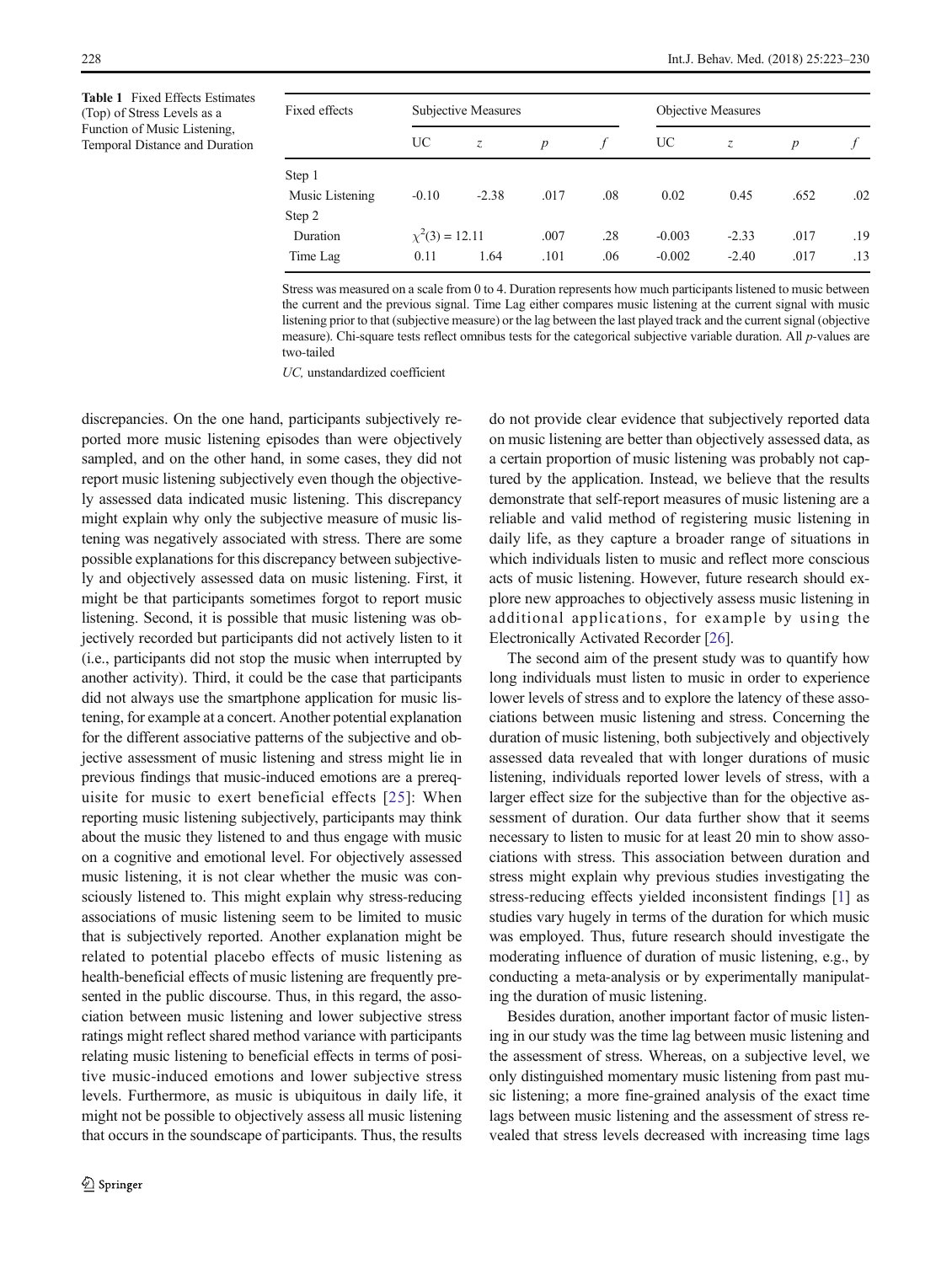<span id="page-5-0"></span>Table 1 Fixed Effects Estimates (Top) of Stress Levels as a Function of Music Listening, Temporal Distance and Duration

| Fixed effects   | Subjective Measures |         |                  |     | <b>Objective Measures</b> |         |                  |     |
|-----------------|---------------------|---------|------------------|-----|---------------------------|---------|------------------|-----|
|                 | UC                  | $Z_{i}$ | $\boldsymbol{p}$ |     | UC                        | $Z_{i}$ | $\boldsymbol{p}$ |     |
| Step 1          |                     |         |                  |     |                           |         |                  |     |
| Music Listening | $-0.10$             | $-2.38$ | .017             | .08 | 0.02                      | 0.45    | .652             | .02 |
| Step 2          |                     |         |                  |     |                           |         |                  |     |
| Duration        | $\chi^2(3) = 12.11$ |         | .007             | .28 | $-0.003$                  | $-2.33$ | .017             | .19 |
| Time Lag        | 0.11                | 1.64    | .101             | .06 | $-0.002$                  | $-2.40$ | .017             | .13 |

Stress was measured on a scale from 0 to 4. Duration represents how much participants listened to music between the current and the previous signal. Time Lag either compares music listening at the current signal with music listening prior to that (subjective measure) or the lag between the last played track and the current signal (objective measure). Chi-square tests reflect omnibus tests for the categorical subjective variable duration. All  $p$ -values are two-tailed

UC, unstandardized coefficient

discrepancies. On the one hand, participants subjectively reported more music listening episodes than were objectively sampled, and on the other hand, in some cases, they did not report music listening subjectively even though the objectively assessed data indicated music listening. This discrepancy might explain why only the subjective measure of music listening was negatively associated with stress. There are some possible explanations for this discrepancy between subjectively and objectively assessed data on music listening. First, it might be that participants sometimes forgot to report music listening. Second, it is possible that music listening was objectively recorded but participants did not actively listen to it (i.e., participants did not stop the music when interrupted by another activity). Third, it could be the case that participants did not always use the smartphone application for music listening, for example at a concert. Another potential explanation for the different associative patterns of the subjective and objective assessment of music listening and stress might lie in previous findings that music-induced emotions are a prerequisite for music to exert beneficial effects [[25\]](#page-7-0): When reporting music listening subjectively, participants may think about the music they listened to and thus engage with music on a cognitive and emotional level. For objectively assessed music listening, it is not clear whether the music was consciously listened to. This might explain why stress-reducing associations of music listening seem to be limited to music that is subjectively reported. Another explanation might be related to potential placebo effects of music listening as health-beneficial effects of music listening are frequently presented in the public discourse. Thus, in this regard, the association between music listening and lower subjective stress ratings might reflect shared method variance with participants relating music listening to beneficial effects in terms of positive music-induced emotions and lower subjective stress levels. Furthermore, as music is ubiquitous in daily life, it might not be possible to objectively assess all music listening that occurs in the soundscape of participants. Thus, the results do not provide clear evidence that subjectively reported data on music listening are better than objectively assessed data, as a certain proportion of music listening was probably not captured by the application. Instead, we believe that the results demonstrate that self-report measures of music listening are a reliable and valid method of registering music listening in daily life, as they capture a broader range of situations in which individuals listen to music and reflect more conscious acts of music listening. However, future research should explore new approaches to objectively assess music listening in additional applications, for example by using the Electronically Activated Recorder [\[26\]](#page-7-0).

The second aim of the present study was to quantify how long individuals must listen to music in order to experience lower levels of stress and to explore the latency of these associations between music listening and stress. Concerning the duration of music listening, both subjectively and objectively assessed data revealed that with longer durations of music listening, individuals reported lower levels of stress, with a larger effect size for the subjective than for the objective assessment of duration. Our data further show that it seems necessary to listen to music for at least 20 min to show associations with stress. This association between duration and stress might explain why previous studies investigating the stress-reducing effects yielded inconsistent findings [[1\]](#page-7-0) as studies vary hugely in terms of the duration for which music was employed. Thus, future research should investigate the moderating influence of duration of music listening, e.g., by conducting a meta-analysis or by experimentally manipulating the duration of music listening.

Besides duration, another important factor of music listening in our study was the time lag between music listening and the assessment of stress. Whereas, on a subjective level, we only distinguished momentary music listening from past music listening; a more fine-grained analysis of the exact time lags between music listening and the assessment of stress revealed that stress levels decreased with increasing time lags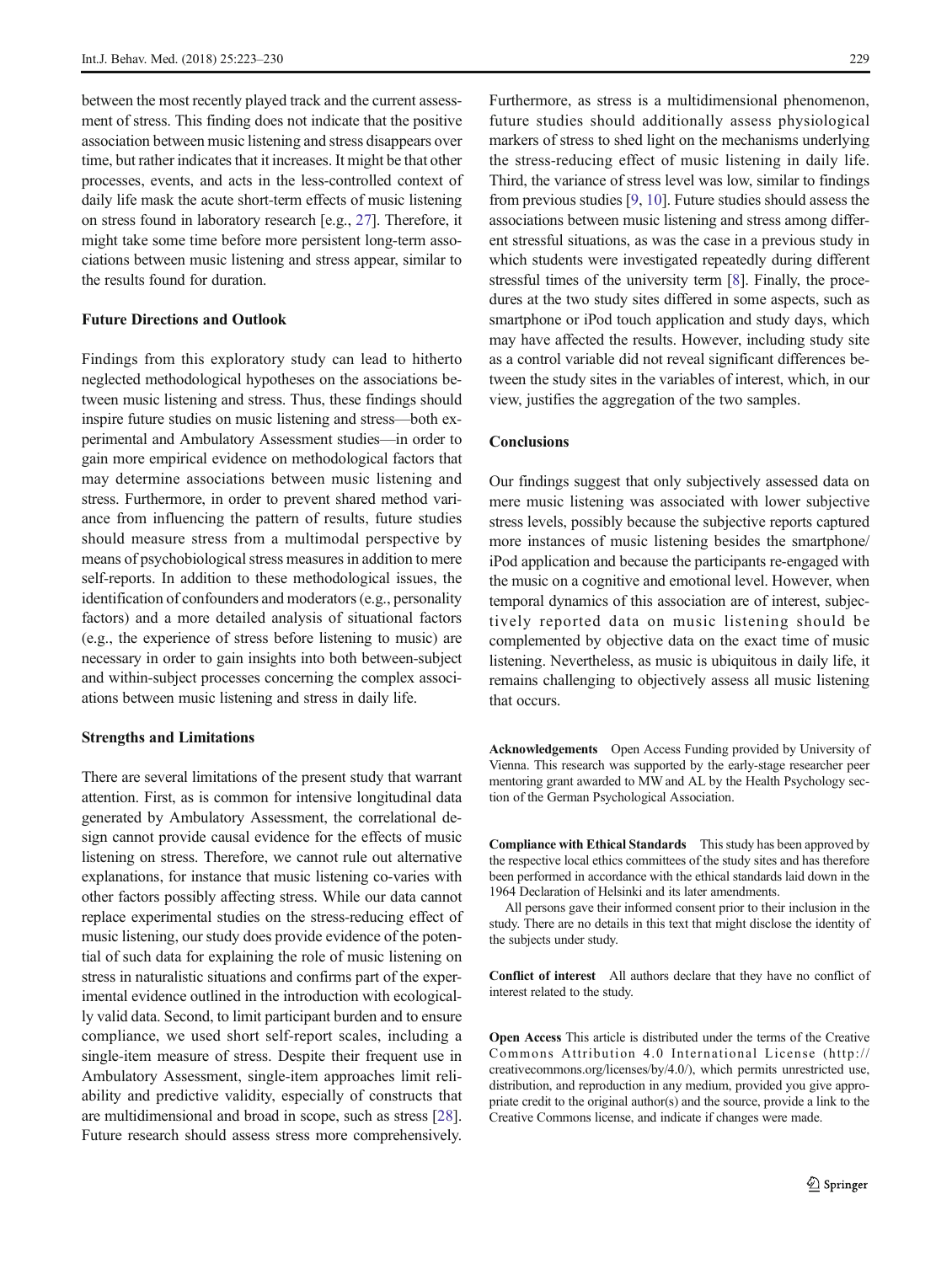between the most recently played track and the current assessment of stress. This finding does not indicate that the positive association between music listening and stress disappears over time, but rather indicates that it increases. It might be that other processes, events, and acts in the less-controlled context of daily life mask the acute short-term effects of music listening on stress found in laboratory research [e.g., [27](#page-7-0)]. Therefore, it might take some time before more persistent long-term associations between music listening and stress appear, similar to the results found for duration.

## Future Directions and Outlook

Findings from this exploratory study can lead to hitherto neglected methodological hypotheses on the associations between music listening and stress. Thus, these findings should inspire future studies on music listening and stress—both experimental and Ambulatory Assessment studies—in order to gain more empirical evidence on methodological factors that may determine associations between music listening and stress. Furthermore, in order to prevent shared method variance from influencing the pattern of results, future studies should measure stress from a multimodal perspective by means of psychobiological stress measures in addition to mere self-reports. In addition to these methodological issues, the identification of confounders and moderators (e.g., personality factors) and a more detailed analysis of situational factors (e.g., the experience of stress before listening to music) are necessary in order to gain insights into both between-subject and within-subject processes concerning the complex associations between music listening and stress in daily life.

#### Strengths and Limitations

There are several limitations of the present study that warrant attention. First, as is common for intensive longitudinal data generated by Ambulatory Assessment, the correlational design cannot provide causal evidence for the effects of music listening on stress. Therefore, we cannot rule out alternative explanations, for instance that music listening co-varies with other factors possibly affecting stress. While our data cannot replace experimental studies on the stress-reducing effect of music listening, our study does provide evidence of the potential of such data for explaining the role of music listening on stress in naturalistic situations and confirms part of the experimental evidence outlined in the introduction with ecologically valid data. Second, to limit participant burden and to ensure compliance, we used short self-report scales, including a single-item measure of stress. Despite their frequent use in Ambulatory Assessment, single-item approaches limit reliability and predictive validity, especially of constructs that are multidimensional and broad in scope, such as stress [[28\]](#page-7-0). Future research should assess stress more comprehensively.

Furthermore, as stress is a multidimensional phenomenon, future studies should additionally assess physiological markers of stress to shed light on the mechanisms underlying the stress-reducing effect of music listening in daily life. Third, the variance of stress level was low, similar to findings from previous studies [[9,](#page-7-0) [10](#page-7-0)]. Future studies should assess the associations between music listening and stress among different stressful situations, as was the case in a previous study in which students were investigated repeatedly during different stressful times of the university term [\[8](#page-7-0)]. Finally, the procedures at the two study sites differed in some aspects, such as smartphone or iPod touch application and study days, which may have affected the results. However, including study site as a control variable did not reveal significant differences between the study sites in the variables of interest, which, in our view, justifies the aggregation of the two samples.

## **Conclusions**

Our findings suggest that only subjectively assessed data on mere music listening was associated with lower subjective stress levels, possibly because the subjective reports captured more instances of music listening besides the smartphone/ iPod application and because the participants re-engaged with the music on a cognitive and emotional level. However, when temporal dynamics of this association are of interest, subjectively reported data on music listening should be complemented by objective data on the exact time of music listening. Nevertheless, as music is ubiquitous in daily life, it remains challenging to objectively assess all music listening that occurs.

Acknowledgements Open Access Funding provided by University of Vienna. This research was supported by the early-stage researcher peer mentoring grant awarded to MW and AL by the Health Psychology section of the German Psychological Association.

Compliance with Ethical Standards This study has been approved by the respective local ethics committees of the study sites and has therefore been performed in accordance with the ethical standards laid down in the 1964 Declaration of Helsinki and its later amendments.

All persons gave their informed consent prior to their inclusion in the study. There are no details in this text that might disclose the identity of the subjects under study.

Conflict of interest All authors declare that they have no conflict of interest related to the study.

Open Access This article is distributed under the terms of the Creative Commons Attribution 4.0 International License (http:// creativecommons.org/licenses/by/4.0/), which permits unrestricted use, distribution, and reproduction in any medium, provided you give appropriate credit to the original author(s) and the source, provide a link to the Creative Commons license, and indicate if changes were made.